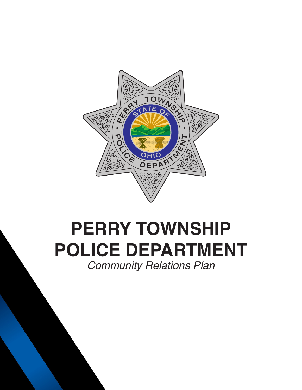

# **PERRY TOWNSHIP POLICE DEPARTMENT** *Community Relations Plan*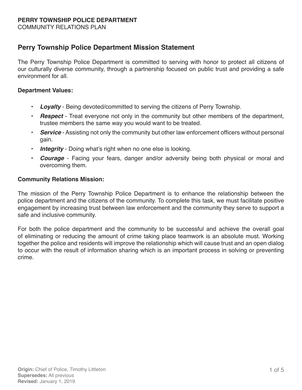COMMUNITY RELATIONS PLAN

## **Perry Township Police Department Mission Statement**

The Perry Township Police Department is committed to serving with honor to protect all citizens of our culturally diverse community, through a partnership focused on public trust and providing a safe environment for all.

#### **Department Values:**

- • *Loyalty* Being devoted/committed to serving the citizens of Perry Township.
- **Respect** Treat everyone not only in the community but other members of the department, trustee members the same way you would want to be treated.
- **Service** Assisting not only the community but other law enforcement officers without personal gain.
- • *Integrity* Doing what's right when no one else is looking.
- **Courage** Facing your fears, danger and/or adversity being both physical or moral and overcoming them.

#### **Community Relations Mission:**

The mission of the Perry Township Police Department is to enhance the relationship between the police department and the citizens of the community. To complete this task, we must facilitate positive engagement by increasing trust between law enforcement and the community they serve to support a safe and inclusive community.

For both the police department and the community to be successful and achieve the overall goal of eliminating or reducing the amount of crime taking place teamwork is an absolute must. Working together the police and residents will improve the relationship which will cause trust and an open dialog to occur with the result of information sharing which is an important process in solving or preventing crime.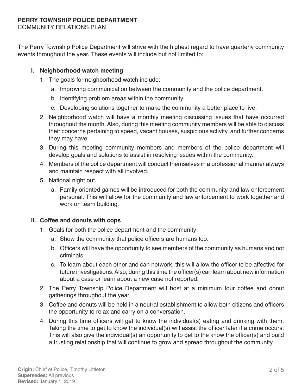COMMUNITY RELATIONS PLAN

The Perry Township Police Department will strive with the highest regard to have quarterly community events throughout the year. These events will include but not limited to:

## **I. Neighborhood watch meeting**

- 1. The goals for neighborhood watch include:
	- a. Improving communication between the community and the police department.
	- b. Identifying problem areas within the community.
	- c. Developing solutions together to make the community a better place to live.
- 2. Neighborhood watch will have a monthly meeting discussing issues that have occurred throughout the month. Also, during this meeting community members will be able to discuss their concerns pertaining to speed, vacant houses, suspicious activity, and further concerns they may have.
- 3. During this meeting community members and members of the police department will develop goals and solutions to assist in resolving issues within the community.
- 4. Members of the police department will conduct themselves in a professional manner always and maintain respect with all involved.
- 5. National night out.
	- a. Family oriented games will be introduced for both the community and law enforcement personal. This will allow for the community and law enforcement to work together and work on team building.

## **II. Coffee and donuts with cops**

- 1. Goals for both the police department and the community:
	- a. Show the community that police officers are humans too.
	- b. Officers will have the opportunity to see members of the community as humans and not criminals.
	- c. To learn about each other and can network, this will allow the officer to be affective for future investigations.Also, during this time the officer(s) can learn about new information about a case or learn about a new case not reported.
- 2. The Perry Township Police Department will host at a minimum four coffee and donut gatherings throughout the year.
- 3. Coffee and donuts will be held in a neutral establishment to allow both citizens and officers the opportunity to relax and carry on a conversation.
- 4. During this time officers will get to know the individual(s) eating and drinking with them. Taking the time to get to know the individual(s) will assist the officer later if a crime occurs. This will also give the individual(s) an opportunity to get to the know the officer(s) and build a trusting relationship that will continue to grow and spread throughout the community.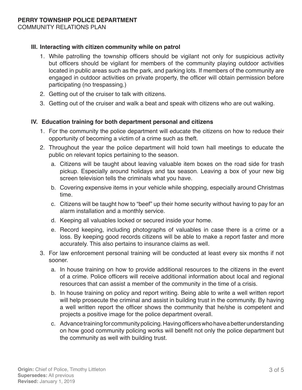COMMUNITY RELATIONS PLAN

## **III. Interacting with citizen community while on patrol**

- 1. While patrolling the township officers should be vigilant not only for suspicious activity but officers should be vigilant for members of the community playing outdoor activities located in public areas such as the park, and parking lots. If members of the community are engaged in outdoor activities on private property, the officer will obtain permission before participating (no trespassing.)
- 2. Getting out of the cruiser to talk with citizens.
- 3. Getting out of the cruiser and walk a beat and speak with citizens who are out walking.

#### **IV. Education training for both department personal and citizens**

- 1. For the community the police department will educate the citizens on how to reduce their opportunity of becoming a victim of a crime such as theft.
- 2. Throughout the year the police department will hold town hall meetings to educate the public on relevant topics pertaining to the season.
	- a. Citizens will be taught about leaving valuable item boxes on the road side for trash pickup. Especially around holidays and tax season. Leaving a box of your new big screen television tells the criminals what you have.
	- b. Covering expensive items in your vehicle while shopping, especially around Christmas time.
	- c. Citizens will be taught how to "beef" up their home security without having to pay for an alarm installation and a monthly service.
	- d. Keeping all valuables locked or secured inside your home.
	- e. Record keeping, including photographs of valuables in case there is a crime or a loss. By keeping good records citizens will be able to make a report faster and more accurately. This also pertains to insurance claims as well.
- 3. For law enforcement personal training will be conducted at least every six months if not sooner.
	- a. In house training on how to provide additional resources to the citizens in the event of a crime. Police officers will receive additional information about local and regional resources that can assist a member of the community in the time of a crisis.
	- b. In house training on policy and report writing. Being able to write a well written report will help prosecute the criminal and assist in building trust in the community. By having a well written report the officer shows the community that he/she is competent and projects a positive image for the police department overall.
	- c. Advance training for community policing. Having officers who have a better understanding on how good community policing works will benefit not only the police department but the community as well with building trust.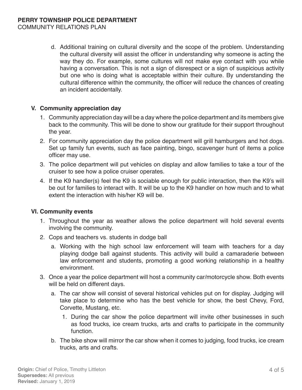COMMUNITY RELATIONS PLAN

d. Additional training on cultural diversity and the scope of the problem. Understanding the cultural diversity will assist the officer in understanding why someone is acting the way they do. For example, some cultures will not make eye contact with you while having a conversation. This is not a sign of disrespect or a sign of suspicious activity but one who is doing what is acceptable within their culture. By understanding the cultural difference within the community, the officer will reduce the chances of creating an incident accidentally.

#### **V. Community appreciation day**

- 1. Community appreciation day will be a day where the police department and its members give back to the community. This will be done to show our gratitude for their support throughout the year.
- 2. For community appreciation day the police department will grill hamburgers and hot dogs. Set up family fun events, such as face painting, bingo, scavenger hunt of items a police officer may use.
- 3. The police department will put vehicles on display and allow families to take a tour of the cruiser to see how a police cruiser operates.
- 4. If the K9 handler(s) feel the K9 is sociable enough for public interaction, then the K9's will be out for families to interact with. It will be up to the K9 handler on how much and to what extent the interaction with his/her K9 will be.

## **VI. Community events**

- 1. Throughout the year as weather allows the police department will hold several events involving the community.
- 2. Cops and teachers vs. students in dodge ball
	- a. Working with the high school law enforcement will team with teachers for a day playing dodge ball against students. This activity will build a camaraderie between law enforcement and students, promoting a good working relationship in a healthy environment.
- 3. Once a year the police department will host a community car/motorcycle show. Both events will be held on different days.
	- a. The car show will consist of several historical vehicles put on for display. Judging will take place to determine who has the best vehicle for show, the best Chevy, Ford, Corvette, Mustang, etc.
		- 1. During the car show the police department will invite other businesses in such as food trucks, ice cream trucks, arts and crafts to participate in the community function.
	- b. The bike show will mirror the car show when it comes to judging, food trucks, ice cream trucks, arts and crafts.